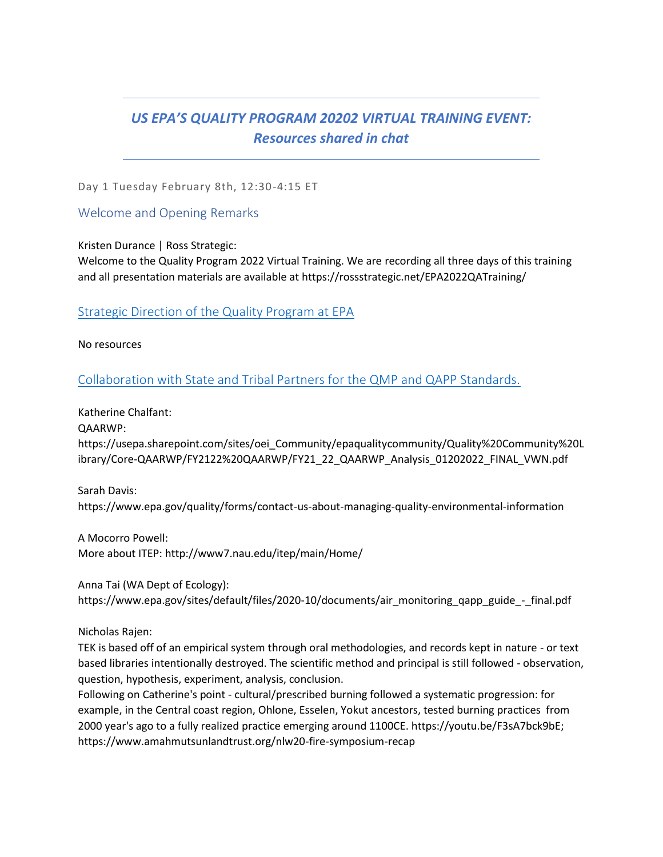# *US EPA'S QUALITY PROGRAM 20202 VIRTUAL TRAINING EVENT: Resources shared in chat*

Day 1 Tuesday February 8th, 12:30-4:15 ET

Welcome and Opening Remarks

Kristen Durance | Ross Strategic:

Welcome to the Quality Program 2022 Virtual Training. We are recording all three days of this training and all presentation materials are available at https://rossstrategic.net/EPA2022QATraining/

[Strategic Direction of the Quality Program at EPA](https://rossstrategic365-my.sharepoint.com/:b:/g/personal/ssarfatyepstein_rossstrategic_com/EZ5nF8fxOKhMvVPZA47_gvUBYnHUueQI942gulEOwnvoTA?e=xuFdhq)

No resources

[Collaboration with State and Tribal Partners for the QMP and QAPP Standards.](https://rossstrategic365-my.sharepoint.com/:b:/g/personal/ssarfatyepstein_rossstrategic_com/EbUTIjgV1ptDofvETYXGOWQByIrCfz-WpbI0VgGqRPa7ZQ?e=BOZFYQ)

Katherine Chalfant:

QAARWP:

https://usepa.sharepoint.com/sites/oei\_Community/epaqualitycommunity/Quality%20Community%20L ibrary/Core-QAARWP/FY2122%20QAARWP/FY21\_22\_QAARWP\_Analysis\_01202022\_FINAL\_VWN.pdf

Sarah Davis: https://www.epa.gov/quality/forms/contact-us-about-managing-quality-environmental-information

A Mocorro Powell: More about ITEP: http://www7.nau.edu/itep/main/Home/

Anna Tai (WA Dept of Ecology):

https://www.epa.gov/sites/default/files/2020-10/documents/air\_monitoring\_qapp\_guide\_-\_final.pdf

Nicholas Rajen:

TEK is based off of an empirical system through oral methodologies, and records kept in nature - or text based libraries intentionally destroyed. The scientific method and principal is still followed - observation, question, hypothesis, experiment, analysis, conclusion.

Following on Catherine's point - cultural/prescribed burning followed a systematic progression: for example, in the Central coast region, Ohlone, Esselen, Yokut ancestors, tested burning practices from 2000 year's ago to a fully realized practice emerging around 1100CE. https://youtu.be/F3sA7bck9bE; https://www.amahmutsunlandtrust.org/nlw20-fire-symposium-recap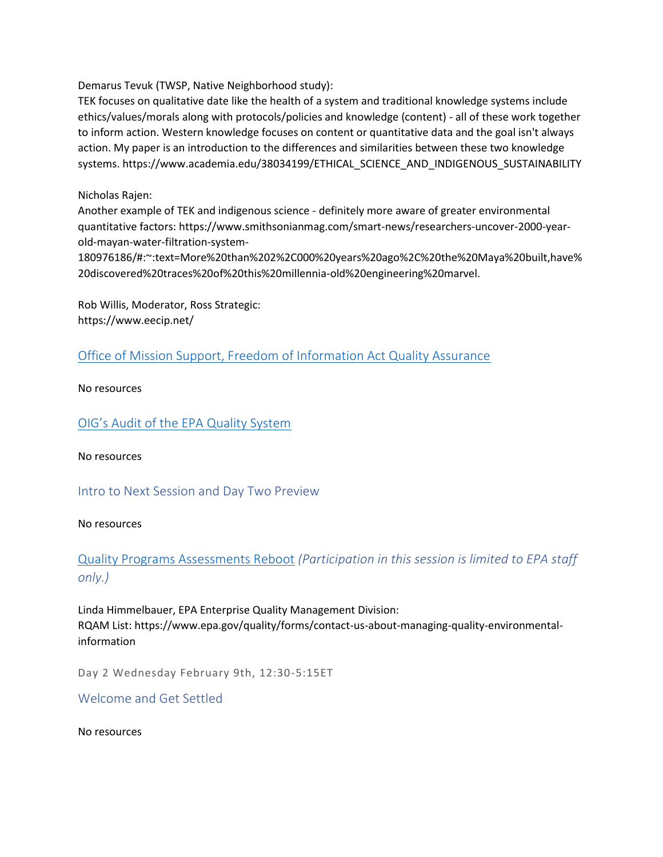Demarus Tevuk (TWSP, Native Neighborhood study):

TEK focuses on qualitative date like the health of a system and traditional knowledge systems include ethics/values/morals along with protocols/policies and knowledge (content) - all of these work together to inform action. Western knowledge focuses on content or quantitative data and the goal isn't always action. My paper is an introduction to the differences and similarities between these two knowledge systems. https://www.academia.edu/38034199/ETHICAL\_SCIENCE\_AND\_INDIGENOUS\_SUSTAINABILITY

#### Nicholas Rajen:

Another example of TEK and indigenous science - definitely more aware of greater environmental quantitative factors: https://www.smithsonianmag.com/smart-news/researchers-uncover-2000-yearold-mayan-water-filtration-system-

180976186/#:~:text=More%20than%202%2C000%20years%20ago%2C%20the%20Maya%20built,have% 20discovered%20traces%20of%20this%20millennia-old%20engineering%20marvel.

Rob Willis, Moderator, Ross Strategic: https://www.eecip.net/

[Office of Mission Support, Freedom of Information Act Quality Assurance](https://rossstrategic365-my.sharepoint.com/:b:/g/personal/ssarfatyepstein_rossstrategic_com/EYq0nLvxGZFKquoMVxuQ1-YB15yOWP3e_IoSvepOnKn9tA?e=AKWlbR)

No resources

[OIG's Audit of the EPA Quality System](https://rossstrategic365-my.sharepoint.com/:b:/g/personal/ssarfatyepstein_rossstrategic_com/EXEGAACWtctFsoU5YPDb1nwBPnKZaWslRWZJQRYJeNVdGA?e=kYUShe)

No resources

Intro to Next Session and Day Two Preview

No resources

[Quality Programs Assessments Reboot](https://rossstrategic365-my.sharepoint.com/:b:/g/personal/ssarfatyepstein_rossstrategic_com/EfIZEqRsqp5Ojk0_laFhN6YBiInXTgI0VgEig7mcCqsJIQ?e=2Nr1Mx) *(Participation in this session is limited to EPA staff only.)*

Linda Himmelbauer, EPA Enterprise Quality Management Division: RQAM List: https://www.epa.gov/quality/forms/contact-us-about-managing-quality-environmentalinformation

Day 2 Wednesday February 9th, 12:30-5:15ET

Welcome and Get Settled

No resources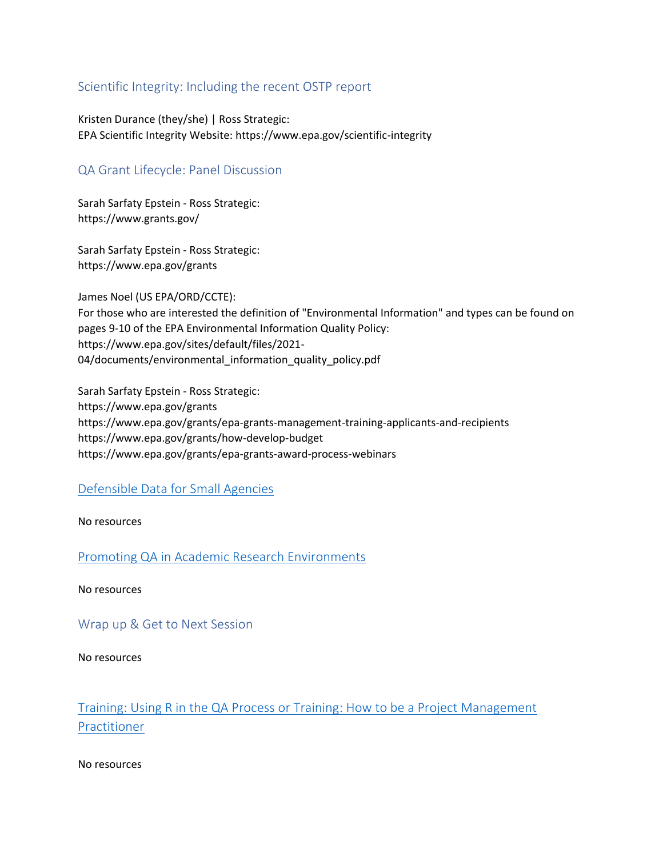## Scientific Integrity: Including the recent OSTP report

Kristen Durance (they/she) | Ross Strategic: EPA Scientific Integrity Website: https://www.epa.gov/scientific-integrity

## QA Grant Lifecycle: Panel Discussion

Sarah Sarfaty Epstein - Ross Strategic: https://www.grants.gov/

Sarah Sarfaty Epstein - Ross Strategic: https://www.epa.gov/grants

James Noel (US EPA/ORD/CCTE): For those who are interested the definition of "Environmental Information" and types can be found on pages 9-10 of the EPA Environmental Information Quality Policy: https://www.epa.gov/sites/default/files/2021- 04/documents/environmental\_information\_quality\_policy.pdf

Sarah Sarfaty Epstein - Ross Strategic: https://www.epa.gov/grants https://www.epa.gov/grants/epa-grants-management-training-applicants-and-recipients https://www.epa.gov/grants/how-develop-budget https://www.epa.gov/grants/epa-grants-award-process-webinars

#### [Defensible Data for Small Agencies](https://rossstrategic365-my.sharepoint.com/:b:/g/personal/ssarfatyepstein_rossstrategic_com/EZgXClQNOlhLq7PBx1lCn_wBKIbfgZGGrzaeai8Sfzqngg?e=3whp8f)

No resources

[Promoting QA in Academic Research Environments](https://rossstrategic365-my.sharepoint.com/:b:/g/personal/ssarfatyepstein_rossstrategic_com/EUdW0_RsWWVCn5btgFd8xXYBlTnQW7dLzPOcJGg9LwspWw?e=1InP3i)

No resources

Wrap up & Get to Next Session

No resources

# [Training: Using R in the QA Process](https://rossstrategic365-my.sharepoint.com/:b:/g/personal/ssarfatyepstein_rossstrategic_com/EW0SO8E_m6VOilCJGHyr8gAB70ekfrE0HHXCjiUgWcASBQ?e=rgNaT3) or [Training: How to be a Project Management](https://rossstrategic365-my.sharepoint.com/:b:/g/personal/ssarfatyepstein_rossstrategic_com/EabQFSaSNoBDnIYvLtIYi9oB0jWb-nUZhUd-EMZlqnhHiA?e=n2qgie)  [Practitioner](https://rossstrategic365-my.sharepoint.com/:b:/g/personal/ssarfatyepstein_rossstrategic_com/EabQFSaSNoBDnIYvLtIYi9oB0jWb-nUZhUd-EMZlqnhHiA?e=n2qgie)

No resources